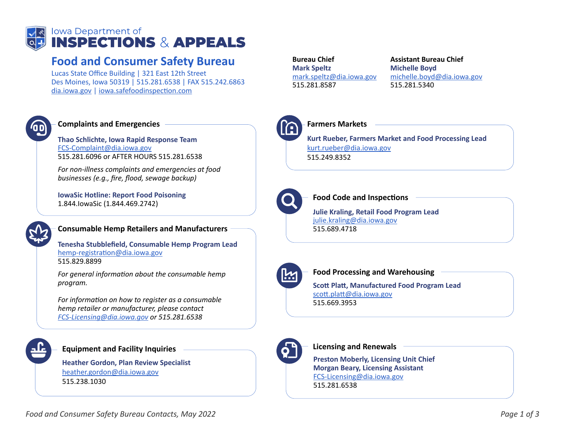

## **Food and Consumer Safety Bureau**

Lucas State Office Building | 321 East 12th Street Des Moines, Iowa 50319 | 515.281.6538 | FAX 515.242.6863 dia.iowa.gov | iowa.safefoodinspection.com



#### **Complaints and Emergencies**

**Thao Schlichte, Iowa Rapid Response Team** FCS-Complaint@dia.iowa.gov 515.281.6096 or AFTER HOURS 515.281.6538

*For non-illness complaints and emergencies at food businesses (e.g., fire, flood, sewage backup)*

**IowaSic Hotline: Report Food Poisoning** 1.844.IowaSic (1.844.469.2742)



#### **Consumable Hemp Retailers and Manufacturers**

**Tenesha Stubblefield, Consumable Hemp Program Lead** hemp-registration@dia.iowa.gov 515.829.8899

*For general information about the consumable hemp program.* 

*For information on how to register as a consumable hemp retailer or manufacturer, please contact FCS-Licensing@dia.iowa.gov or 515.281.6538*

#### **Equipment and Facility Inquiries**

**Heather Gordon, Plan Review Specialist** heather.gordon@dia.iowa.gov 515.238.1030

**Bureau Chief Mark Speltz** mark.speltz@dia.iowa.gov 515.281.8587

**Assistant Bureau Chief Michelle Boyd** michelle.boyd@dia.iowa.gov 515.281.5340



#### **Farmers Markets**

**Kurt Rueber, Farmers Market and Food Processing Lead** kurt.rueber@dia.iowa.gov 515.249.8352



#### **Food Code and Inspections**

**Julie Kraling, Retail Food Program Lead** julie.kraling@dia.iowa.gov 515.689.4718



#### **Food Processing and Warehousing**

**Scott Platt, Manufactured Food Program Lead** scott.platt@dia.iowa.gov 515.669.3953



### **Licensing and Renewals**

**Preston Moberly, Licensing Unit Chief Morgan Beary, Licensing Assistant** FCS-Licensing@dia.iowa.gov 515.281.6538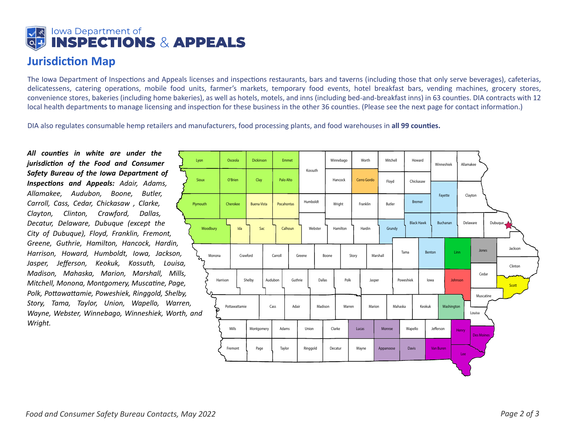# **Iowa Department of<br>INSPECTIONS & APPEALS**

## **Jurisdiction Map**

The Iowa Department of Inspections and Appeals licenses and inspections restaurants, bars and taverns (including those that only serve beverages), cafeterias, delicatessens, catering operations, mobile food units, farmer's markets, temporary food events, hotel breakfast bars, vending machines, grocery stores, convenience stores, bakeries (including home bakeries), as well as hotels, motels, and inns (including bed-and-breakfast inns) in 63 coun�es. DIA contracts with 12 local health departments to manage licensing and inspection for these business in the other 36 counties. (Please see the next page for contact information.)

DIA also regulates consumable hemp retailers and manufacturers, food processing plants, and food warehouses in **all 99 coun�es.**

*All counties in white are under the jurisdiction of the Food and Consumer Safety Bureau of the Iowa Department of Inspections and Appeals: Adair, Adams, Allamakee, Audubon, Boone, Butler, Carroll, Cass, Cedar, Chickasaw , Clarke, Clayton, Clinton, Crawford, Dallas, Decatur, Delaware, Dubuque (except the City of Dubuque), Floyd, Franklin, Fremont, Greene, Guthrie, Hamilton, Hancock, Hardin, Harrison, Howard, Humboldt, Iowa, Jackson, Jasper, Jefferson, Keokuk, Kossuth, Louisa, Madison, Mahaska, Marion, Marshall, Mills, Mitchell, Monona, Montgomery, Muscatine, Page, Polk, Pottawattamie, Poweshiek, Ringgold, Shelby, Story, Tama, Taylor, Union, Wapello, Warren, Wayne, Webster, Winnebago, Winneshiek, Worth, Wright.*

| Lyon                                      |        | Osceola       |       | <b>Dickinson</b>   |       | Emmet         |         | Kossuth  |       | Winnebago |        | Worth       |        | Mitchell  |        |                   | Howard        |           | Winneshiek |       | Allamakee           |  |                    |  |
|-------------------------------------------|--------|---------------|-------|--------------------|-------|---------------|---------|----------|-------|-----------|--------|-------------|--------|-----------|--------|-------------------|---------------|-----------|------------|-------|---------------------|--|--------------------|--|
| Sioux                                     |        | O'Brien       |       | Clay               |       | Palo Alto     |         |          |       | Hancock   |        | Cerro Gordo |        | Floyd     |        |                   | Chickasaw     |           |            |       |                     |  |                    |  |
| Plymouth                                  |        | Cherokee      |       | <b>Buena Vista</b> |       | Pocahontas    |         | Humboldt |       | Wright    |        | Franklin    |        | Butler    |        |                   | <b>Bremer</b> |           | Fayette    |       | Clayton             |  |                    |  |
| Woodbury                                  |        |               | Ida   |                    | Sac   |               | Calhoun | Webster  |       | Hamilton  |        |             | Hardin |           | Grundy | <b>Black Hawk</b> |               |           | Buchanan   |       | Delaware            |  | Dubuque            |  |
| $\mathcal{L}_{\mathcal{L}_{\mathcal{D}}}$ | Monona | Crawford      |       |                    |       | Carroll       | Greene  |          | Boone |           |        | Story       |        | Marshall  |        | Tama              | Benton        |           | Linn       |       | Jones               |  | Jackson<br>Clinton |  |
|                                           |        | Harrison      |       | Shelby<br>Audubon  |       | Guthrie       |         | Dallas   |       | Polk      |        | Jasper      |        |           |        | Poweshiek         |               | lowa      | Johnson    |       | Cedar               |  | Scott              |  |
| n,<br>, and                               |        | Pottawattamie |       |                    |       | Adair<br>Cass |         | Madison  |       | Warren    |        | Marion      |        | Mahaska   |        | Keokuk            |               |           | Washington |       | Muscatine<br>Louisa |  |                    |  |
|                                           |        |               | Mills | Montgomery         | Adams |               |         |          | Union |           | Clarke | Lucas       |        | Monroe    |        | Wapello           |               | Jefferson |            | Henry | <b>Des Moines</b>   |  |                    |  |
|                                           |        | Fremont       |       | Page               |       | Taylor        |         | Ringgold |       | Decatur   |        | Wayne       |        | Appanoose |        | Davis             |               | Van Buren |            | Lee   |                     |  |                    |  |
|                                           |        |               |       |                    |       |               |         |          |       |           |        |             |        |           |        |                   |               |           |            | ÷     |                     |  |                    |  |